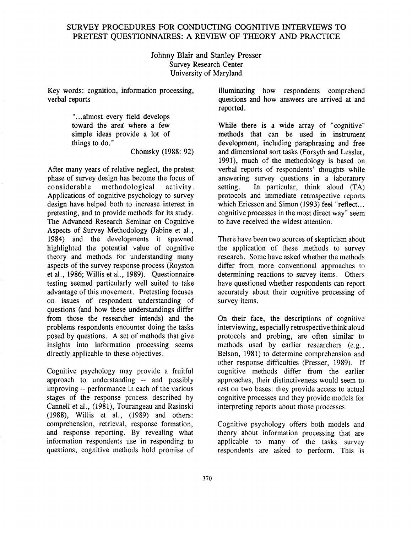## SURVEY PROCEDURES FOR CONDUCTING COGNITIVE INTERVIEWS TO PRETEST QUESTIONNAIRES: A REVIEW OF THEORY AND PRACTICE

Johnny Blair and Stanley Presser Survey Research Center University of Maryland

Key words: cognition, information processing, verbal reports

> "...almost every field develops toward the area where a few simple ideas provide a lot of things to do."

Chomsky (1988: 92)

After many years of relative neglect, the pretest phase of survey design has become the focus of<br>considerable methodological activity. methodological activity. Applications of cognitive psychology to survey design have helped both to increase interest in pretesting, and to provide methods for its study. The Advanced Research Seminar on Cognitive Aspects of Survey Methodology (Jabine et al., 1984) and the developments it spawned highlighted the potential value of cognitive theory and methods for understanding many aspects of the survey response process (Royston et al., 1986; Willis et al., 1989). Questionnaire testing seemed particularly well suited to take advantage of this movement. Pretesting focuses on issues of respondent understanding of questions (and how these understandings differ from those the researcher intends) and the problems respondents encounter doing the tasks posed by questions. A set of methods that give insights into information processing seems directly applicable to these objectives.

Cognitive psychology may provide a fruitful approach to understanding-- and possibly improving-- performance in each of the various stages of the response process described by Cannell et al., (1981), Tourangeau and Rasinski (1988), Willis et al., (1989) and others: comprehension, retrieval, response formation, and response reporting. By revealing what information respondents use in responding to questions, cognitive methods hold promise of illuminating how respondents comprehend questions and how answers are arrived at and reported.

While there is a wide array of "cognitive" methods that can be used in instrument development, including paraphrasing and free and dimensional sort tasks (Forsyth and Lessler, 1991), much of the methodology is based on verbal reports of respondents' thoughts while answering survey questions in a laboratory setting. In particular, think aloud (TA) protocols and immediate retrospective reports which Ericsson and Simon (1993) feel "reflect... cognitive processes in the most direct way" seem to have received the widest attention.

There have been two sources of skepticism about the application of these methods to survey research. Some have asked whether the methods differ from more conventional approaches to determining reactions to survey items. Others have questioned whether respondents can report accurately about their cognitive processing of survey items.

On their face, the descriptions of cognitive interviewing, especially retrospective think aloud protocols and probing, are often similar to methods used by earlier researchers (e.g., Belson, 1981) to determine comprehension and other response difficulties (Presser, 1989). If cognitive methods differ from the earlier approaches, their distinctiveness would seem to rest on two bases: they provide access to actual cognitive processes and they provide models for interpreting reports about those processes.

Cognitive psychology offers both models and theory about information processing that are applicable to many of the tasks survey respondents are asked to perform. This is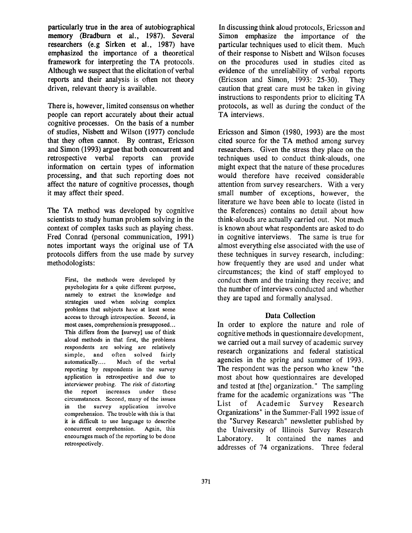particularly true in the area of autobiographical memory (Bradburn et al., 1987). Several researchers (e.g Sirken et al., 1987) have emphasized the importance of a theoretical framework for interpreting the TA protocols. Although we suspect that the elicitation of verbal reports and their analysis is often not theory driven, relevant theory is available.

There is, however, limited consensus on whether people can report accurately about their actual cognitive processes. On the basis of a number of studies, Nisbett and Wilson (1977) conclude that they often cannot. By contrast, Ericsson and Simon (1993) argue that both concurrent and retrospective verbal reports can provide information on certain types of information processing, and that such reporting does not affect the nature of cognitive processes, though it may affect their speed.

The TA method was developed by cognitive scientists to study human problem solving in the context of complex tasks such as playing chess. Fred Conrad (personal communication, 1991) notes important ways the original use of TA protocols differs from the use made by survey methodologists:

> First, the methods were developed by psychologists for a quite different purpose, namely to extract the knowledge and strategies used when solving complex problems that subjects have at least some access to through introspection. Second, in most eases, comprehension is presupposed... This differs from the [survey] use of think aloud methods in that first, the problems respondents are solving are relatively simple, and often solved fairly automatically.... Much of the verbal reporting by respondents in the survey application is retrospective and due to interviewer probing. The risk of distorting the report increases under these circumstances. Second, many of the issues in the survey application involve comprehension. The trouble with this is that it is difficult to use language to describe concurrent comprehension. Again, this encourages much of the reporting to be done retrospectively.

In discussing think aloud protocols, Ericsson and Simon emphasize the importance of the particular techniques used to elicit them. Much of their response to Nisbett and Wilson focuses on the procedures used in studies cited as evidence of the unreliability of verbal reports (Ericsson and Simon, 1993: 25-30). They caution that great care must be taken in giving instructions to respondents prior to eliciting TA protocols, as well as during the conduct of the TA interviews.

Ericsson and Simon (1980, 1993) are the most cited source for the TA method among survey researchers. Given the stress they place on the techniques used to conduct think-alouds, one might expect that the nature of these procedures would therefore have received considerable attention from survey researchers. With a very small number of exceptions, however, the literature we have been able to locate (listed in the References) contains no detail about how think-alouds are actually carried out. Not much is known about what respondents are asked to do in cognitive interviews. The same is true for almost everything else associated with the use of these techniques in survey research, including: how frequently they are used and under what circumstances; the kind of staff employed to conduct them and the training they receive; and the number of interviews conducted and whether they are taped and formally analysed.

#### **Data Collection**

In order to explore the nature and role of cognitive methods in questionnaire development, we carried out a mail survey of academic survey research organizations and federal statistical agencies in the spring and summer of 1993. The respondent was the person who knew "the most about how questionnaires are developed and tested at [the] organization." The sampling frame for the academic organizations was "The List of Academic Survey Research Organizations" in the Summer-Fall 1992 issue of the "Survey Research" newsletter published by the University of Illinois Survey Research Laboratory. It contained the names and addresses of 74 organizations. Three federal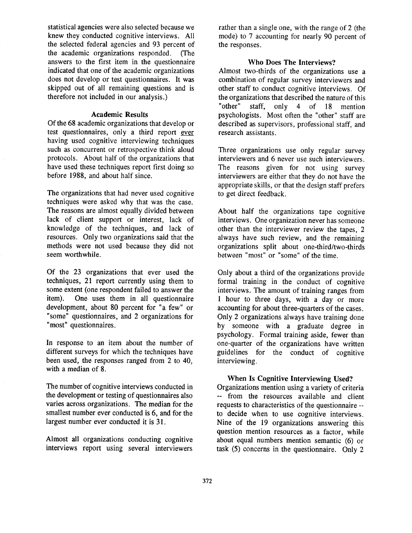statistical agencies were also selected because we knew they conducted cognitive interviews. All the selected federal agencies and 93 percent of the academic organizations responded. (The answers to the first item in the questionnaire indicated that one of the academic organizations does not develop or test questionnaires. It was skipped out of all remaining questions and is therefore not included in our analysis.)

#### **Academic Results**

Of the 68 academic organizations that develop or test questionnaires, only a third report ever having used cognitive interviewing techniques such as concurrent or retrospective think aloud protocols. About half of the organizations that have used these techniques report first doing so before 1988, and about half since.

The organizations that had never used cognitive techniques were asked why that was the case. The reasons are almost equally divided between lack of client support or interest, lack of knowledge of the techniques, and lack of resources. Only two organizations said that the methods were not used because they did not seem worthwhile.

Of the 23 organizations that ever used the techniques, 21 report currently using them to some extent (one respondent failed to answer the item). One uses them in all questionnaire development, about 80 percent for "a few" or "some" questionnaires, and 2 organizations for "most" questionnaires.

In response to an item about the number of different surveys for which the techniques have been used, the responses ranged from 2 to 40, with a median of 8.

The number of cognitive interviews conducted in the development or testing of questionnaires also varies across organizations. The median for the smallest number ever conducted is 6, and for the largest number ever conducted it is 31.

Almost all organizations conducting cognitive interviews report using several interviewers

rather than a single one, with the range of 2 (the mode) to 7 accounting for nearly 90 percent of the responses.

# Who Does The Interviews?

Almost two-thirds of the organizations use a combination of regular survey interviewers and other staff to conduct cognitive interviews. Of the organizations that described the nature of this "other" staff, only 4 of 18 mention psychologists. Most often the "other" staff are described as supervisors, professional staff, and research assistants.

Three organizations use only regular survey interviewers and 6 never use such interviewers. The reasons given for not using survey interviewers are either that they do not have the appropriate skills, or that the design staff prefers to get direct feedback.

About half the organizations tape cognitive interviews. One organization never has someone other than the interviewer review the tapes, 2 always have such review, and the remaining organizations split about one-third/two-thirds between "most" or "some" of the time.

Only about a third of the organizations provide formal training in the conduct of cognitive interviews. The amount of training ranges from 1 hour to three days, with a day or more accounting for about three-quarters of the cases. Only 2 organizations always have training done by someone with a graduate degree in psychology. Formal training aside, fewer than one-quarter of the organizations have written guidelines for the conduct of cognitive interviewing.

## When Is Cognitive Interviewing **Used?**

Organizations mention using a variety of criteria -- from the resources available and client requests to characteristics of the questionnaire- to decide when to use cognitive interviews. Nine of the 19 organizations answering this question mention resources as a factor, while about equal numbers mention semantic (6) or task (5) concerns in the questionnaire. Only 2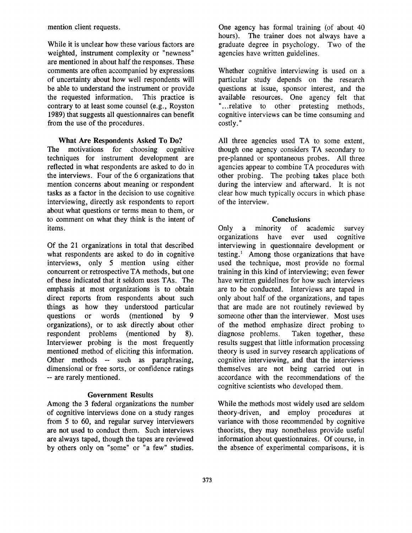mention client requests.

While it is unclear how these various factors are weighted, instrument complexity or "newness" are mentioned in about half the responses. These comments are often accompanied by expressions of uncertainty about how well respondents will be able to understand the instrument or provide<br>the requested information. This practice is the requested information. contrary to at least some counsel (e.g., Royston 1989) that suggests all questionnaires can benefit from the use of the procedures.

## What **Are Respondents** Asked To Do?

The motivations for choosing cognitive techniques for instrument development are reflected in what respondents are asked to do in the interviews. Four of the 6 organizations that mention concerns about meaning or respondent tasks as a factor in the decision to use cognitive interviewing, directly ask respondents to report about what questions or terms mean to them, or to comment on what they think is the intent of items.

Of the 21 organizations in total that described what respondents are asked to do in cognitive interviews, only 5 mention using either concurrent or retrospective TA methods, but one of these indicated that it seldom uses TAs. The emphasis at most organizations is to obtain direct reports from respondents about such things as how they understood particular questions or words (mentioned by 9 organizations), or to ask directly about other respondent problems (mentioned by 8). Interviewer probing is the most frequently mentioned method of eliciting this information. Other methods -- such as paraphrasing, dimensional or free sorts, or confidence ratings -- are rarely mentioned.

## **Government Results**

Among the 3 federal organizations the number of cognitive interviews done on a study ranges from 5 to 60, and regular survey interviewers **are** not used to conduct them. Such interviews **are** always taped, though the tapes are reviewed by others only on "some" or "a few" studies. One agency has formal training (of about 40 hours). The trainer does not always have a The trainer does not always have a graduate degree in psychology. Two of the agencies have written guidelines.

Whether cognitive interviewing is used on a particular study depends on the research questions at issue, sponsor interest, and the available resources. One agency felt that "...relative to other pretesting methods, cognitive interviews can be time consuming and costly."

All three agencies used TA to some extent, though one agency considers TA secondary to pre-planned or spontaneous probes. All three agencies appear to combine TA procedures with other probing. The probing takes place both during the interview and afterward. It is not clear how much typically occurs in which phase of the interview.

## **Conclusions**

Only a minority of academic survey organizations have ever used cognitive interviewing in questionnaire development or testing. $<sup>1</sup>$  Among those organizations that have</sup> used the technique, most provide no formal training in this kind of interviewing; even fewer have written guidelines for how such interviews are to be conducted. Interviews are taped in only about half of the organizations, and tapes that are made are not routinely reviewed by someone other than the interviewer. Most uses of the method emphasize direct probing to diagnose problems. Taken together, these results suggest that little information processing theory is used in survey research applications of cognitive interviewing, and that the interviews themselves are not being carried out in accordance with the recommendations of the cognitive scientists who developed them.

While the methods most widely used are seldom theory-driven, and employ procedures at variance with those recommended by cognitive theorists, they may nonetheless provide useful information about questionnaires. Of course, in the absence of experimental comparisons, it is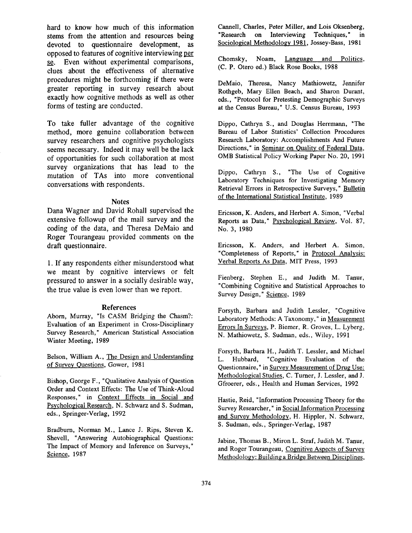hard to know how much of this information stems from the attention and resources being devoted to questionnaire development, as opposed to features of cognitive interviewing per se. Even without experimental comparisons, clues about the effectiveness of alternative procedures might be forthcoming if there were greater reporting in survey research about exactly how cognitive methods as well as other forms of testing are conducted.

To take fuller advantage of the cognitive method, more genuine collaboration between survey researchers and cognitive psychologists seems necessary. Indeed it may well be the lack of opportunities for such collaboration at most survey organizations that has lead to the mutation of TAs into more conventional conversations with respondents.

#### **Notes**

Dana Wagner and David Rohall supervised the extensive followup of the mail survey and the coding of the data, and Theresa DeMaio and Roger Tourangeau provided comments on the draft questionnaire.

1. If any respondents either misunderstood what we meant by cognitive interviews or felt pressured to answer in a socially desirable way, the true value is even lower than we report.

#### References

Aborn, Murray, "Is CASM Bridging the Chasm?: Evaluation of an Experiment in Cross-Disciplinary Survey Research," American Statistical Association Winter Meeting, 1989

Belson, William A., The Design and Understanding of Survey Questions, Gower, 1981

Bishop, George F., "Qualitative Analysis of Question Order and Context Effects: The Use of Think-Aloud Responses," in Context Effects in Social and psychological Research, N. Schwarz and S. Sudman, eds., Springer-Verlag, 1992

Bradburn, Norman M., Lance J. Rips, Steven K. Shevell, "Answering Autobiographical Questions: The Impact of Memory and Inference on Surveys," Science, 1987

Cannell, Charles, Peter Miller, and Lois Oksenberg, "Research on Interviewing Techniques," in Sociological Methodology 1981, Jossey-Bass, 1981

Chomsky, Noam, Language and Politics, (C. P. Otero ed.) Black Rose Books, 1988

DeMaio, Theresa, Nancy Mathiowetz, Jennifer Rothgeb, Mary Ellen Beach, and Sharon Durant, eds., "Protocol for Pretesting Demographic Surveys at the Census Bureau," U.S. Census Bureau, 1993

Dippo, Cathryn S., and Douglas Herrmann, "The Bureau of Labor Statistics' Collection Procedures Research Laboratory: Accomplishments And Future Directions," in Seminar on Quality of Federal Data, OMB Statistical Policy Working Paper No. 20, 1991

Dippo, Cathryn S., "The Use of Cognitive Laboratory Techniques for Investigating Memory Retrieval Errors in Retrospective Surveys," Bulletin of the International Statistical Institute, 1989

Ericsson, K. Anders, and Herbert A. Simon, "Verbal Reports as Data," Psychological Review, Vol. 87, No. 3, 1980

Ericsson, K. Anders, and Herbert A. Simon, "Completeness of Reports," in Protocol Analysis: Verbal Reports As Data, MIT Press, 1993

Fienberg, Stephen E., and Judith M. Tanur, "Combining Cognitive and Statistical Approaches to Survey Design," Science, 1989

Forsyth, Barbara and Judith Lessler, "Cognitive Laboratory Methods: A Taxonomy," in Measurement Errors In Surveys, P. Biemer, R. Groves, L. Lyberg, N. Mathiowetz, S. Sudman, eds., Wiley, 1991

Forsyth, Barbara H., Judith T. Lessler, and Michael L. Hubbard, "Cognitive Evaluation of the Questionnaire," in Survey Measurement of Drug Use: Methodological Studies, C. Turner, J. Lessler, and J. Gfroerer, eds., Health and Human Services, 1992

Hastie, Reid, "Information Processing Theory for the Survey Researcher," in Social Information Processing and Survey Methodology, H. Hippler, N. Schwarz, S. Sudman, eds., Springer-Verlag, 1987

Jabine, Thomas B., Miron L. Straf, Judith M. Tanur, and Roger Tourangeau, Cognitive Aspects of Survey Methodology: Building a Bridge Between Disciplines,